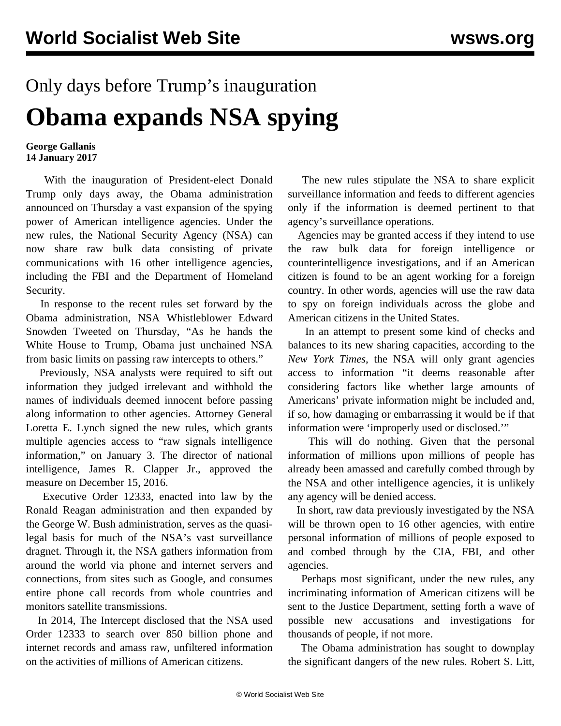## Only days before Trump's inauguration **Obama expands NSA spying**

## **George Gallanis 14 January 2017**

 With the inauguration of President-elect Donald Trump only days away, the Obama administration announced on Thursday a vast expansion of the spying power of American intelligence agencies. Under the new rules, the National Security Agency (NSA) can now share raw bulk data consisting of private communications with 16 other intelligence agencies, including the FBI and the Department of Homeland Security.

 In response to the recent rules set forward by the Obama administration, NSA Whistleblower Edward Snowden Tweeted on Thursday, "As he hands the White House to Trump, Obama just unchained NSA from basic limits on passing raw intercepts to others."

 Previously, NSA analysts were required to sift out information they judged irrelevant and withhold the names of individuals deemed innocent before passing along information to other agencies. Attorney General Loretta E. Lynch signed the new rules, which grants multiple agencies access to "raw signals intelligence information," on January 3. The director of national intelligence, James R. Clapper Jr., approved the measure on December 15, 2016.

 Executive Order 12333, enacted into law by the Ronald Reagan administration and then expanded by the George W. Bush administration, serves as the quasilegal basis for much of the NSA's vast surveillance dragnet. Through it, the NSA gathers information from around the world via phone and internet servers and connections, from sites such as Google, and consumes entire phone call records from whole countries and monitors satellite transmissions.

 In 2014, The Intercept disclosed that the NSA used Order 12333 to search over 850 billion phone and internet records and amass raw, unfiltered information on the activities of millions of American citizens.

 The new rules stipulate the NSA to share explicit surveillance information and feeds to different agencies only if the information is deemed pertinent to that agency's surveillance operations.

 Agencies may be granted access if they intend to use the raw bulk data for foreign intelligence or counterintelligence investigations, and if an American citizen is found to be an agent working for a foreign country. In other words, agencies will use the raw data to spy on foreign individuals across the globe and American citizens in the United States.

 In an attempt to present some kind of checks and balances to its new sharing capacities, according to the *New York Times*, the NSA will only grant agencies access to information "it deems reasonable after considering factors like whether large amounts of Americans' private information might be included and, if so, how damaging or embarrassing it would be if that information were 'improperly used or disclosed.'"

 This will do nothing. Given that the personal information of millions upon millions of people has already been amassed and carefully combed through by the NSA and other intelligence agencies, it is unlikely any agency will be denied access.

 In short, raw data previously investigated by the NSA will be thrown open to 16 other agencies, with entire personal information of millions of people exposed to and combed through by the CIA, FBI, and other agencies.

 Perhaps most significant, under the new rules, any incriminating information of American citizens will be sent to the Justice Department, setting forth a wave of possible new accusations and investigations for thousands of people, if not more.

 The Obama administration has sought to downplay the significant dangers of the new rules. Robert S. Litt,